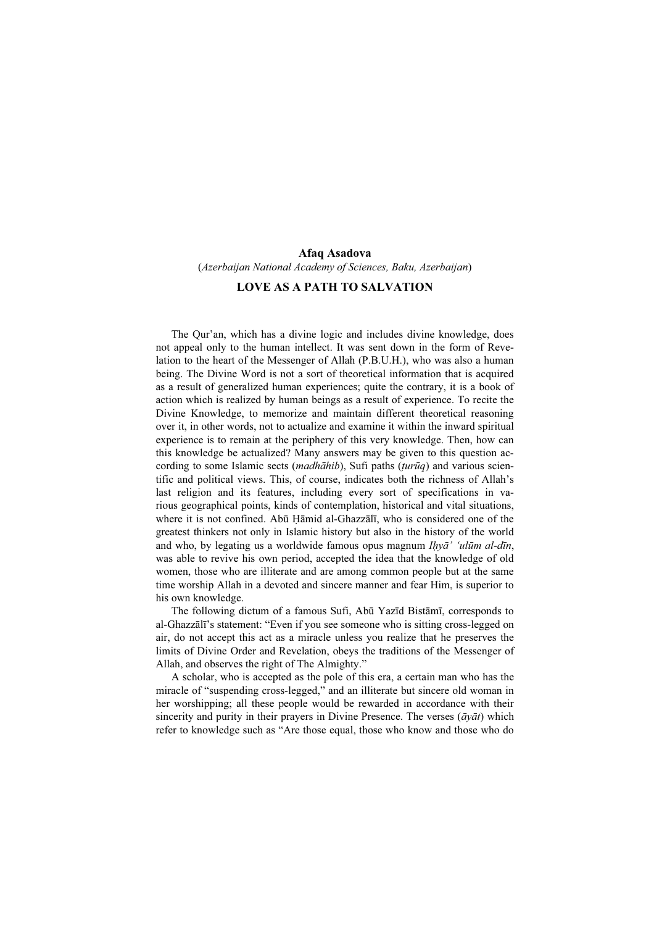## Afaq Asadova

(Azerbaijan National Academy of Sciences, Baku, Azerbaijan)

## LOVE AS A PATH TO SALVATION

The Qur'an, which has a divine logic and includes divine knowledge, does not appeal only to the human intellect. It was sent down in the form of Revelation to the heart of the Messenger of Allah (P.B.U.H.), who was also a human being. The Divine Word is not a sort of theoretical information that is acquired as a result of generalized human experiences; quite the contrary, it is a book of action which is realized by human beings as a result of experience. To recite the Divine Knowledge, to memorize and maintain different theoretical reasoning over it, in other words, not to actualize and examine it within the inward spiritual experience is to remain at the periphery of this very knowledge. Then, how can this knowledge be actualized? Many answers may be given to this question according to some Islamic sects (*madhāhib*), Sufi paths ( $tur\bar{u}q$ ) and various scientific and political views. This, of course, indicates both the richness of Allah's last religion and its features, including every sort of specifications in various geographical points, kinds of contemplation, historical and vital situations, where it is not confined. Abū Ḥāmid al-Ghazzālī, who is considered one of the greatest thinkers not only in Islamic history but also in the history of the world and who, by legating us a worldwide famous opus magnum  $Ihv\bar{a}'$  'ulūm al-dīn, was able to revive his own period, accepted the idea that the knowledge of old women, those who are illiterate and are among common people but at the same time worship Allah in a devoted and sincere manner and fear Him, is superior to his own knowledge.

The following dictum of a famous Sufi, Abū Yazīd Bistāmī, corresponds to al-Ghazzālī's statement: "Even if you see someone who is sitting cross-legged on air, do not accept this act as a miracle unless you realize that he preserves the limits of Divine Order and Revelation, obeys the traditions of the Messenger of Allah, and observes the right of The Almighty."

A scholar, who is accepted as the pole of this era, a certain man who has the miracle of "suspending cross-legged," and an illiterate but sincere old woman in her worshipping; all these people would be rewarded in accordance with their sincerity and purity in their prayers in Divine Presence. The verses  $(\bar{a}v\bar{a}t)$  which refer to knowledge such as "Are those equal, those who know and those who do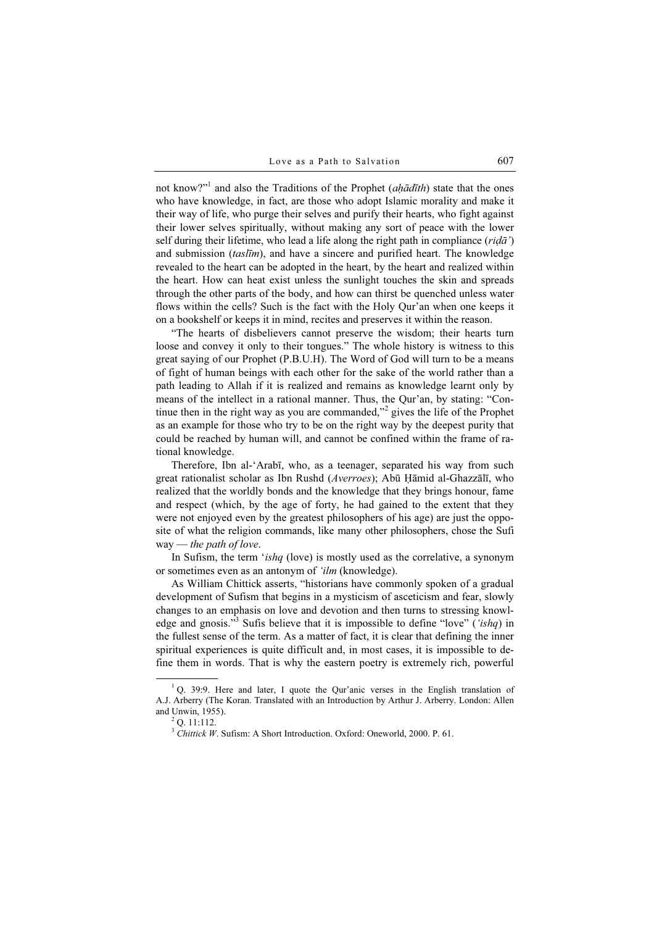not know?"<sup>1</sup> and also the Traditions of the Prophet (*aḥādīth*) state that the ones who have knowledge, in fact, are those who adopt Islamic morality and make it their way of life, who purge their selves and purify their hearts, who fight against their lower selves spiritually, without making any sort of peace with the lower self during their lifetime, who lead a life along the right path in compliance  $(\text{rid}\tilde{a}')$ and submission  $(tas\overline{lim})$ , and have a sincere and purified heart. The knowledge revealed to the heart can be adopted in the heart, by the heart and realized within the heart. How can heat exist unless the sunlight touches the skin and spreads through the other parts of the body, and how can thirst be quenched unless water flows within the cells? Such is the fact with the Holy Qur'an when one keeps it on a bookshelf or keeps it in mind, recites and preserves it within the reason.

"The hearts of disbelievers cannot preserve the wisdom; their hearts turn loose and convey it only to their tongues." The whole history is witness to this great saying of our Prophet (P.B.U.H). The Word of God will turn to be a means of fight of human beings with each other for the sake of the world rather than a path leading to Allah if it is realized and remains as knowledge learnt only by means of the intellect in a rational manner. Thus, the Qur'an, by stating: "Continue then in the right way as you are commanded,"<sup>2</sup> gives the life of the Prophet as an example for those who try to be on the right way by the deepest purity that could be reached by human will, and cannot be confined within the frame of rational knowledge.

Therefore, Ibn al-'Arabī, who, as a teenager, separated his way from such great rationalist scholar as Ibn Rushd (Averroes); Abū Ḥāmid al-Ghazzālī, who realized that the worldly bonds and the knowledge that they brings honour, fame and respect (which, by the age of forty, he had gained to the extent that they were not enjoyed even by the greatest philosophers of his age) are just the opposite of what the religion commands, like many other philosophers, chose the Sufi way — the path of love.

In Sufism, the term 'ishq (love) is mostly used as the correlative, a synonym or sometimes even as an antonym of 'ilm (knowledge).

As William Chittick asserts, "historians have commonly spoken of a gradual development of Sufism that begins in a mysticism of asceticism and fear, slowly changes to an emphasis on love and devotion and then turns to stressing knowledge and gnosis."<sup>3</sup> Sufis believe that it is impossible to define "love" ('ishq) in the fullest sense of the term. As a matter of fact, it is clear that defining the inner spiritual experiences is quite difficult and, in most cases, it is impossible to define them in words. That is why the eastern poetry is extremely rich, powerful

 $\frac{1}{1}$  Q. 39:9. Here and later, I quote the Qur'anic verses in the English translation of A.J. Arberry (The Koran. Translated with an Introduction by Arthur J. Arberry. London: Allen and Unwin, 1955). <sup>2</sup>

 $2$  O. 11:112.

 $3$  Chittick W. Sufism: A Short Introduction. Oxford: Oneworld, 2000. P. 61.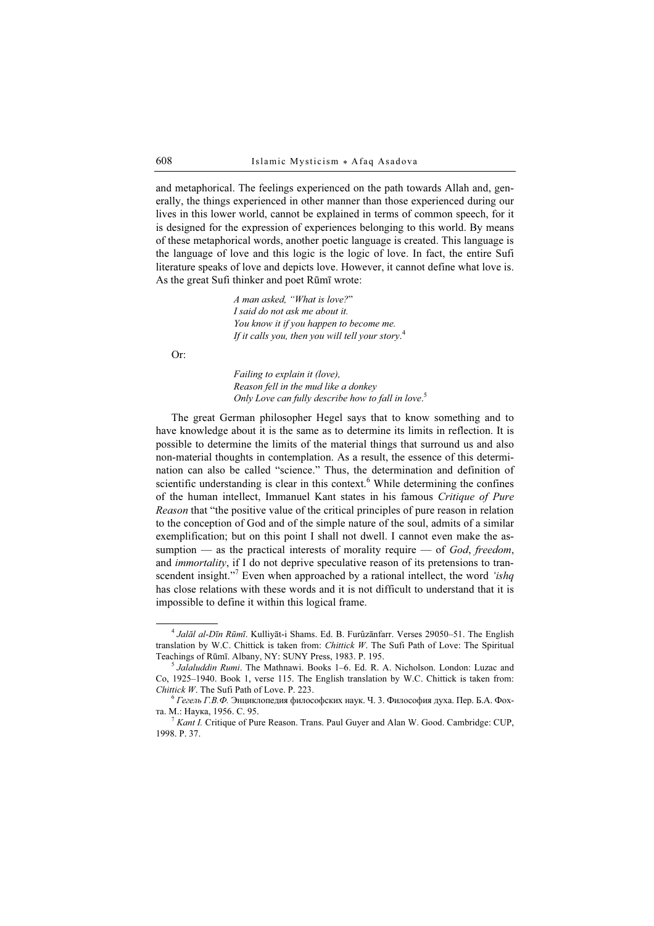and metaphorical. The feelings experienced on the path towards Allah and, generally, the things experienced in other manner than those experienced during our lives in this lower world, cannot be explained in terms of common speech, for it is designed for the expression of experiences belonging to this world. By means of these metaphorical words, another poetic language is created. This language is the language of love and this logic is the logic of love. In fact, the entire Sufi literature speaks of love and depicts love. However, it cannot define what love is. As the great Sufi thinker and poet Rūmī wrote:

> A man asked, "What is love?" I said do not ask me about it. You know it if you happen to become me. If it calls you, then you will tell your story.<sup>4</sup>

Or:

Failing to explain it (love), Reason fell in the mud like a donkey Only Love can fully describe how to fall in love.<sup>5</sup>

The great German philosopher Hegel says that to know something and to have knowledge about it is the same as to determine its limits in reflection. It is possible to determine the limits of the material things that surround us and also non-material thoughts in contemplation. As a result, the essence of this determination can also be called "science." Thus, the determination and definition of scientific understanding is clear in this context.<sup>6</sup> While determining the confines of the human intellect, Immanuel Kant states in his famous Critique of Pure Reason that "the positive value of the critical principles of pure reason in relation to the conception of God and of the simple nature of the soul, admits of a similar exemplification; but on this point I shall not dwell. I cannot even make the assumption — as the practical interests of morality require — of  $God, freedom,$ and *immortality*, if I do not deprive speculative reason of its pretensions to transcendent insight."<sup>7</sup> Even when approached by a rational intellect, the word 'ishq has close relations with these words and it is not difficult to understand that it is impossible to define it within this logical frame.

 $^{4}$  Jalāl al-Dīn Rūmī. Kulliyāt-i Shams. Ed. B. Furûzānfarr. Verses 29050–51. The English translation by W.C. Chittick is taken from: Chittick W. The Sufi Path of Love: The Spiritual Teachings of Rūmī. Albany, NY: SUNY Press, 1983. P. 195.<br><sup>5</sup> Jalaluddin Rumi. The Mathnawi. Books 1–6. Ed. R. A. Nicholson. London: Luzac and

Co, 1925–1940. Book 1, verse 115. The English translation by W.C. Chittick is taken from: Chittick W. The Sufi Path of Love. P. 223.<br><sup>6</sup> Гегель Г.В.Ф. Энциклопедия философских наук. Ч. 3. Философия духа. Пер. Б.А. Фох-

та. М.: Наука, 1956. С. 95.<br><sup>7</sup> *Kant I.* Critique of Pure Reason. Trans. Paul Guyer and Alan W. Good. Cambridge: CUP,

<sup>1998.</sup> P. 37.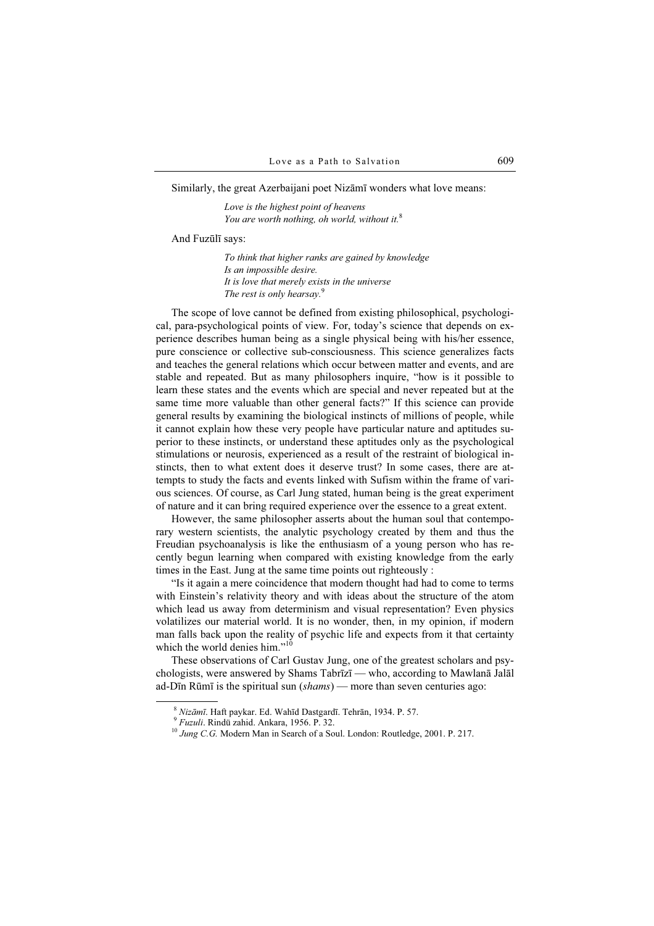Similarly, the great Azerbaijani poet Nizāmī wonders what love means:

Love is the highest point of heavens You are worth nothing, oh world, without it. $8$ 

And Fuzūlī says:

To think that higher ranks are gained by knowledge Is an impossible desire. It is love that merely exists in the universe The rest is only hearsay.<sup>9</sup>

The scope of love cannot be defined from existing philosophical, psychological, para-psychological points of view. For, today's science that depends on experience describes human being as a single physical being with his/her essence, pure conscience or collective sub-consciousness. This science generalizes facts and teaches the general relations which occur between matter and events, and are stable and repeated. But as many philosophers inquire, "how is it possible to learn these states and the events which are special and never repeated but at the same time more valuable than other general facts?" If this science can provide general results by examining the biological instincts of millions of people, while it cannot explain how these very people have particular nature and aptitudes superior to these instincts, or understand these aptitudes only as the psychological stimulations or neurosis, experienced as a result of the restraint of biological instincts, then to what extent does it deserve trust? In some cases, there are attempts to study the facts and events linked with Sufism within the frame of various sciences. Of course, as Carl Jung stated, human being is the great experiment of nature and it can bring required experience over the essence to a great extent.

However, the same philosopher asserts about the human soul that contemporary western scientists, the analytic psychology created by them and thus the Freudian psychoanalysis is like the enthusiasm of a young person who has recently begun learning when compared with existing knowledge from the early times in the East. Jung at the same time points out righteously :

"Is it again a mere coincidence that modern thought had had to come to terms with Einstein's relativity theory and with ideas about the structure of the atom which lead us away from determinism and visual representation? Even physics volatilizes our material world. It is no wonder, then, in my opinion, if modern man falls back upon the reality of psychic life and expects from it that certainty which the world denies him."<sup>10</sup>

These observations of Carl Gustav Jung, one of the greatest scholars and psychologists, were answered by Shams Tabrīzī — who, according to Mawlanā Jalāl ad-Dīn Rūmī is the spiritual sun  $(shams)$  — more than seven centuries ago:

<sup>&</sup>lt;sup>8</sup> Nizāmī. Haft paykar. Ed. Wahīd Dastgardī. Tehrān, 1934. P. 57.<br><sup>9</sup> Fuzuli. Rindü zahid. Ankara, 1956. P. 32.<br><sup>10</sup> Jung C.G. Modern Man in Search of a Soul. London: Routledge, 2001. P. 217.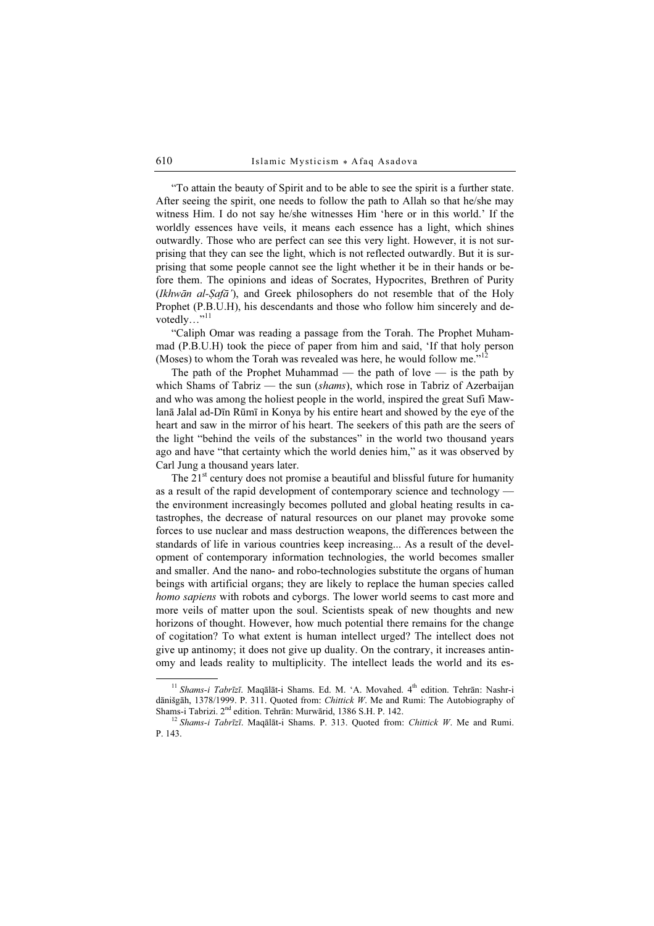"To attain the beauty of Spirit and to be able to see the spirit is a further state. After seeing the spirit, one needs to follow the path to Allah so that he/she may witness Him. I do not say he/she witnesses Him 'here or in this world.' If the worldly essences have veils, it means each essence has a light, which shines outwardly. Those who are perfect can see this very light. However, it is not surprising that they can see the light, which is not reflected outwardly. But it is surprising that some people cannot see the light whether it be in their hands or before them. The opinions and ideas of Socrates, Hypocrites, Brethren of Purity  $(Ikhw\bar{a}n$  al-Saf $\bar{a}$ '), and Greek philosophers do not resemble that of the Holy Prophet (P.B.U.H), his descendants and those who follow him sincerely and devotedly..."<sup>11</sup>

"Caliph Omar was reading a passage from the Torah. The Prophet Muhammad (P.B.U.H) took the piece of paper from him and said, 'If that holy person (Moses) to whom the Torah was revealed was here, he would follow me."<sup>12</sup>

The path of the Prophet Muhammad — the path of love — is the path by which Shams of Tabriz — the sun (shams), which rose in Tabriz of Azerbaijan and who was among the holiest people in the world, inspired the great Sufi Mawlanā Jalal ad-Dīn Rūmī in Konya by his entire heart and showed by the eye of the heart and saw in the mirror of his heart. The seekers of this path are the seers of the light "behind the veils of the substances" in the world two thousand years ago and have "that certainty which the world denies him," as it was observed by Carl Jung a thousand years later.

The  $21<sup>st</sup>$  century does not promise a beautiful and blissful future for humanity as a result of the rapid development of contemporary science and technology the environment increasingly becomes polluted and global heating results in catastrophes, the decrease of natural resources on our planet may provoke some forces to use nuclear and mass destruction weapons, the differences between the standards of life in various countries keep increasing... As a result of the development of contemporary information technologies, the world becomes smaller and smaller. And the nano- and robo-technologies substitute the organs of human beings with artificial organs; they are likely to replace the human species called homo sapiens with robots and cyborgs. The lower world seems to cast more and more veils of matter upon the soul. Scientists speak of new thoughts and new horizons of thought. However, how much potential there remains for the change of cogitation? To what extent is human intellect urged? The intellect does not give up antinomy; it does not give up duality. On the contrary, it increases antinomy and leads reality to multiplicity. The intellect leads the world and its es-

<sup>&</sup>lt;sup>11</sup> Shams-i Tabrīzī. Maqālāt-i Shams. Ed. M. 'A. Movahed. 4<sup>th</sup> edition. Tehrān: Nashr-i dānišgāh, 1378/1999. P. 311. Quoted from: *Chittick W*. Me and Rumi: The Autobiography of Shams-i Tabrizi. 2<sup>nd</sup> edition. Tehrān: Murwārid, 1386 S.H. P. 142.

 $12$  Shams-i Tabrīzī. Maqālāt-i Shams. P. 313. Quoted from: Chittick W. Me and Rumi. P. 143.